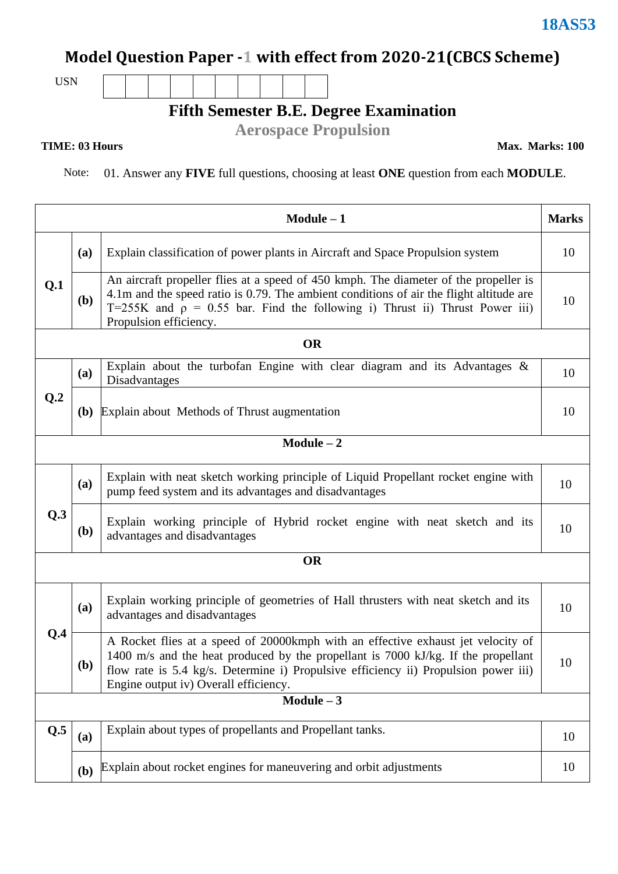# **Model Question Paper -1 with effect from 2020-21(CBCS Scheme)**

USN

#### **Fifth Semester B.E. Degree Examination**

**Aerospace Propulsion**

Note: 01. Answer any **FIVE** full questions, choosing at least **ONE** question from each **MODULE**.

| $Module - 1$ |                                                                           |                                                                                                                                                                                                                                                                                                       |    |  |  |  |
|--------------|---------------------------------------------------------------------------|-------------------------------------------------------------------------------------------------------------------------------------------------------------------------------------------------------------------------------------------------------------------------------------------------------|----|--|--|--|
| Q.1          | (a)                                                                       | Explain classification of power plants in Aircraft and Space Propulsion system                                                                                                                                                                                                                        |    |  |  |  |
|              | (b)                                                                       | An aircraft propeller flies at a speed of 450 kmph. The diameter of the propeller is<br>4.1m and the speed ratio is 0.79. The ambient conditions of air the flight altitude are<br>T=255K and $\rho = 0.55$ bar. Find the following i) Thrust ii) Thrust Power iii)<br>Propulsion efficiency.         |    |  |  |  |
|              |                                                                           | <b>OR</b>                                                                                                                                                                                                                                                                                             |    |  |  |  |
|              | (a)                                                                       | Explain about the turbofan Engine with clear diagram and its Advantages $\&$<br>Disadvantages                                                                                                                                                                                                         |    |  |  |  |
| Q.2          | <b>(b)</b>                                                                | Explain about Methods of Thrust augmentation                                                                                                                                                                                                                                                          | 10 |  |  |  |
|              |                                                                           | $Module - 2$                                                                                                                                                                                                                                                                                          |    |  |  |  |
| Q.3          | (a)                                                                       | Explain with neat sketch working principle of Liquid Propellant rocket engine with<br>pump feed system and its advantages and disadvantages                                                                                                                                                           | 10 |  |  |  |
|              | ( <b>b</b> )                                                              | Explain working principle of Hybrid rocket engine with neat sketch and its<br>advantages and disadvantages                                                                                                                                                                                            |    |  |  |  |
| <b>OR</b>    |                                                                           |                                                                                                                                                                                                                                                                                                       |    |  |  |  |
|              | (a)                                                                       | Explain working principle of geometries of Hall thrusters with neat sketch and its<br>advantages and disadvantages                                                                                                                                                                                    |    |  |  |  |
| Q.4          | ( <b>b</b> )                                                              | A Rocket flies at a speed of 20000kmph with an effective exhaust jet velocity of<br>1400 m/s and the heat produced by the propellant is 7000 kJ/kg. If the propellant<br>flow rate is 5.4 kg/s. Determine i) Propulsive efficiency ii) Propulsion power iii)<br>Engine output iv) Overall efficiency. | 10 |  |  |  |
| $Module - 3$ |                                                                           |                                                                                                                                                                                                                                                                                                       |    |  |  |  |
| Q.5          | (a)                                                                       | Explain about types of propellants and Propellant tanks.                                                                                                                                                                                                                                              |    |  |  |  |
|              | Explain about rocket engines for maneuvering and orbit adjustments<br>(b) |                                                                                                                                                                                                                                                                                                       |    |  |  |  |

**TIME: 03 Hours** Max. Marks: 100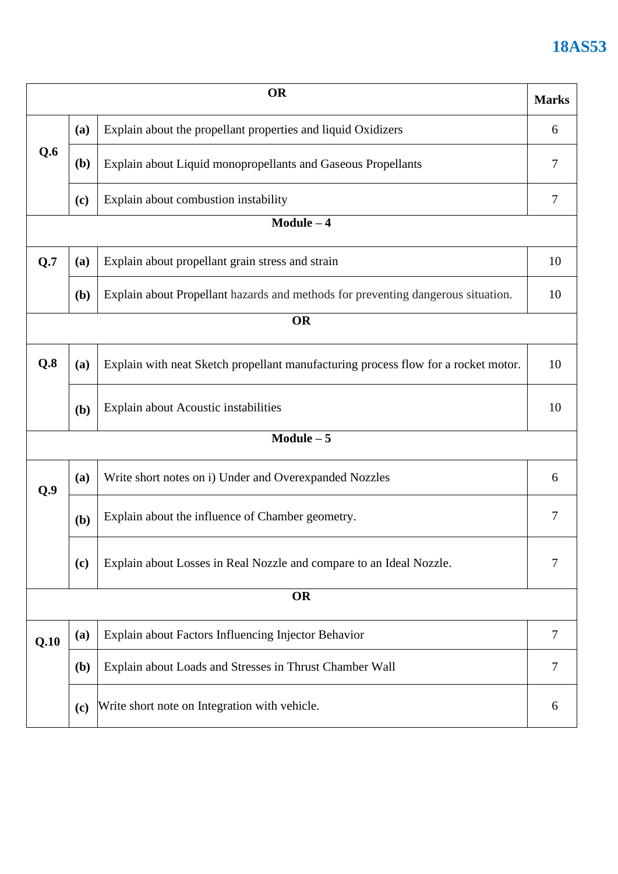## **18AS53**

| <b>OR</b>  |                                                                                                                                       |                                                                     |    |  |  |
|------------|---------------------------------------------------------------------------------------------------------------------------------------|---------------------------------------------------------------------|----|--|--|
|            | (a)                                                                                                                                   | Explain about the propellant properties and liquid Oxidizers        | 6  |  |  |
| Q.6        | ( <b>b</b> )                                                                                                                          | Explain about Liquid monopropellants and Gaseous Propellants        |    |  |  |
|            | Explain about combustion instability<br>(c)                                                                                           |                                                                     |    |  |  |
|            |                                                                                                                                       | $Module - 4$                                                        |    |  |  |
| Q.7        | (a)                                                                                                                                   | Explain about propellant grain stress and strain                    | 10 |  |  |
|            | Explain about Propellant hazards and methods for preventing dangerous situation.<br>( <b>b</b> )                                      |                                                                     |    |  |  |
|            | <b>OR</b>                                                                                                                             |                                                                     |    |  |  |
| Q.8        | Explain with neat Sketch propellant manufacturing process flow for a rocket motor.<br>(a)                                             |                                                                     | 10 |  |  |
|            | Explain about Acoustic instabilities<br>(b)                                                                                           |                                                                     |    |  |  |
| $Module-5$ |                                                                                                                                       |                                                                     |    |  |  |
| Q.9        | (a)                                                                                                                                   | Write short notes on i) Under and Overexpanded Nozzles              | 6  |  |  |
|            | (b)                                                                                                                                   | Explain about the influence of Chamber geometry.                    | 7  |  |  |
|            | (c)                                                                                                                                   | Explain about Losses in Real Nozzle and compare to an Ideal Nozzle. | 7  |  |  |
| <b>OR</b>  |                                                                                                                                       |                                                                     |    |  |  |
| Q.10       | Explain about Factors Influencing Injector Behavior<br>(a)<br>Explain about Loads and Stresses in Thrust Chamber Wall<br>( <b>b</b> ) |                                                                     | 7  |  |  |
|            |                                                                                                                                       |                                                                     | 7  |  |  |
|            | Write short note on Integration with vehicle.<br>(c)                                                                                  |                                                                     |    |  |  |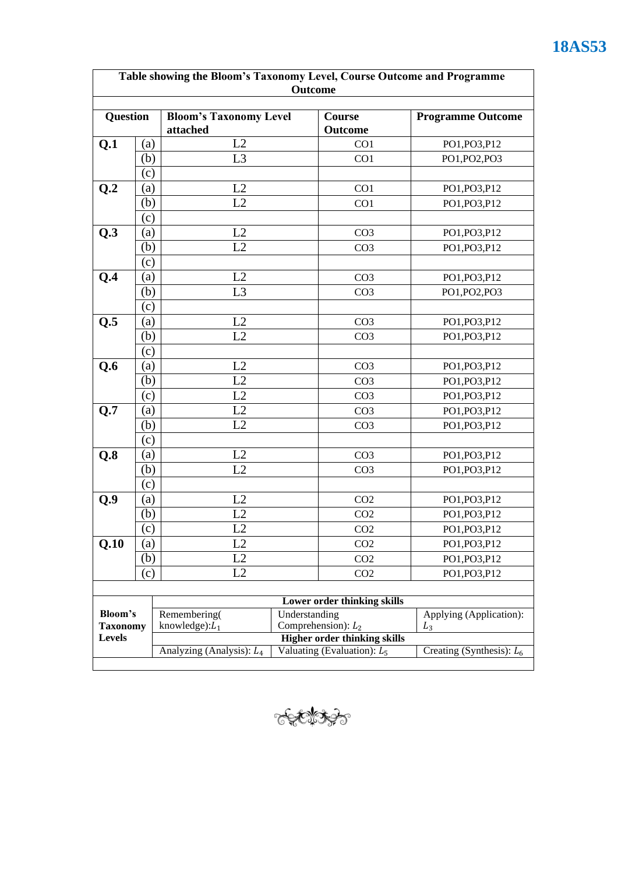| <b>Question</b>           |                            | <b>Bloom's Taxonomy Level</b><br>attached                                                  | Course<br>Outcome                                            |                             | <b>Programme Outcome</b> |
|---------------------------|----------------------------|--------------------------------------------------------------------------------------------|--------------------------------------------------------------|-----------------------------|--------------------------|
| Q.1                       | (a)                        | L2                                                                                         |                                                              | CO <sub>1</sub>             | PO1, PO3, P12            |
|                           | (b)                        | L <sub>3</sub>                                                                             |                                                              | CO1                         | PO1, PO2, PO3            |
|                           | (c)                        |                                                                                            |                                                              |                             |                          |
| Q.2                       | (a)                        | L2                                                                                         |                                                              | CO <sub>1</sub>             | PO1, PO3, P12            |
|                           | (b)                        | L2                                                                                         |                                                              | CO1                         | PO1, PO3, P12            |
|                           | (c)                        |                                                                                            |                                                              |                             |                          |
| Q.3                       | (a)                        | L2                                                                                         |                                                              | CO <sub>3</sub>             | PO1, PO3, P12            |
|                           | (b)                        | L2                                                                                         |                                                              | CO <sub>3</sub>             | PO1, PO3, P12            |
|                           | (c)                        |                                                                                            |                                                              |                             |                          |
| Q.4                       | (a)                        | L2                                                                                         |                                                              | CO <sub>3</sub>             | PO1, PO3, P12            |
|                           | (b)                        | L <sub>3</sub>                                                                             |                                                              | CO <sub>3</sub>             | PO1, PO2, PO3            |
|                           | (c)                        |                                                                                            |                                                              |                             |                          |
| Q.5                       | $\left( \text{a}\right)$   | L2                                                                                         |                                                              | CO <sub>3</sub>             | PO1, PO3, P12            |
|                           | (b)                        | L2                                                                                         |                                                              | CO <sub>3</sub>             | PO1, PO3, P12            |
|                           | (c)                        |                                                                                            |                                                              |                             |                          |
| Q.6                       | (a)                        | L2                                                                                         |                                                              | CO <sub>3</sub>             | PO1, PO3, P12            |
|                           | (b)                        | L2                                                                                         |                                                              | CO <sub>3</sub>             | PO1, PO3, P12            |
|                           | $\left( \mathrm{c}\right)$ | L2                                                                                         |                                                              | CO <sub>3</sub>             | PO1, PO3, P12            |
| Q.7                       | (a)                        | L2                                                                                         |                                                              | CO <sub>3</sub>             | PO1, PO3, P12            |
|                           | (b)                        | L2                                                                                         |                                                              | CO <sub>3</sub>             | PO1, PO3, P12            |
|                           | $\left( \mathrm{c}\right)$ |                                                                                            |                                                              |                             |                          |
| Q.8                       | (a)                        | L2                                                                                         |                                                              | CO <sub>3</sub>             | PO1, PO3, P12            |
|                           | (b)                        | L2                                                                                         |                                                              | CO <sub>3</sub>             | PO1, PO3, P12            |
|                           | (c)                        |                                                                                            |                                                              |                             |                          |
| Q.9                       | (a)                        | L2                                                                                         |                                                              | CO <sub>2</sub>             | PO1, PO3, P12            |
|                           | (b)                        | L2                                                                                         |                                                              | CO <sub>2</sub>             | PO1, PO3, P12            |
|                           | (c)                        | L2                                                                                         |                                                              | CO <sub>2</sub>             | PO1, PO3, P12            |
| Q.10                      | (a)                        | L2                                                                                         |                                                              | CO <sub>2</sub>             | PO1, PO3, P12            |
|                           | (b)                        | L2                                                                                         |                                                              | CO <sub>2</sub>             | PO1, PO3, P12            |
|                           | (c)                        | L2                                                                                         |                                                              | CO <sub>2</sub>             | PO1, PO3, P12            |
|                           |                            |                                                                                            |                                                              |                             |                          |
|                           |                            |                                                                                            |                                                              | Lower order thinking skills |                          |
| Bloom's                   |                            | Understanding<br>Remembering(                                                              |                                                              |                             | Applying (Application):  |
| <b>Taxonomy</b><br>Levels |                            | Comprehension): $L_2$<br>knowledge): $L_1$<br>$L_3$<br><b>Higher order thinking skills</b> |                                                              |                             |                          |
|                           |                            |                                                                                            | Valuating (Evaluation): $L_5$<br>Analyzing (Analysis): $L_4$ |                             |                          |



# **18AS53**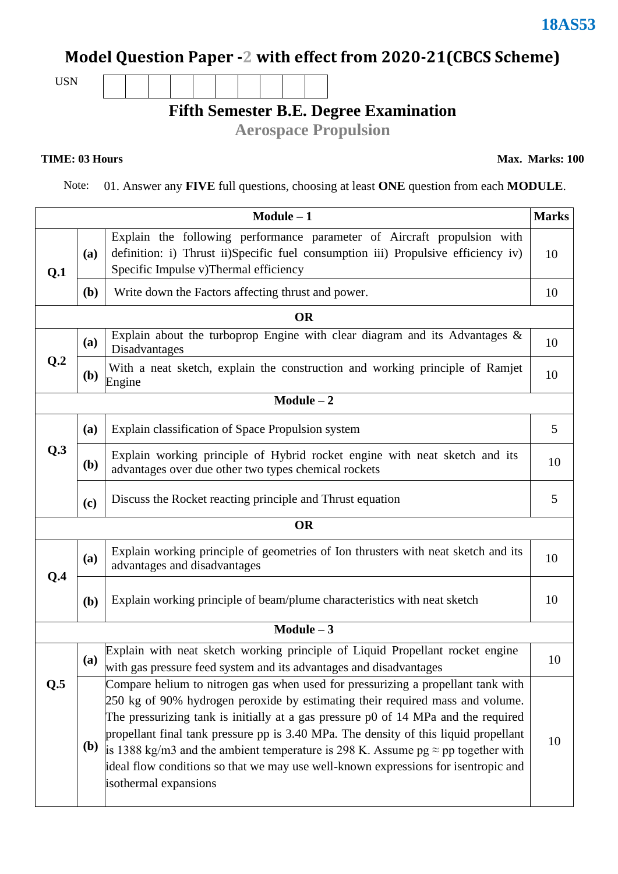# **Model Question Paper -2 with effect from 2020-21(CBCS Scheme)**

USN

# **Fifth Semester B.E. Degree Examination**

**Aerospace Propulsion**

#### **TIME: 03 Hours** Max. Marks: 100

Note: 01. Answer any **FIVE** full questions, choosing at least **ONE** question from each **MODULE**.

|                |            | $Module - 1$                                                                                                                                                                                                                                                                                                                                                                                                                                                                                                                                               | <b>Marks</b> |  |  |  |
|----------------|------------|------------------------------------------------------------------------------------------------------------------------------------------------------------------------------------------------------------------------------------------------------------------------------------------------------------------------------------------------------------------------------------------------------------------------------------------------------------------------------------------------------------------------------------------------------------|--------------|--|--|--|
| Q.1            | (a)        | Explain the following performance parameter of Aircraft propulsion with<br>definition: i) Thrust ii)Specific fuel consumption iii) Propulsive efficiency iv)<br>Specific Impulse v)Thermal efficiency                                                                                                                                                                                                                                                                                                                                                      | 10           |  |  |  |
|                | (b)        | Write down the Factors affecting thrust and power.                                                                                                                                                                                                                                                                                                                                                                                                                                                                                                         |              |  |  |  |
|                |            | <b>OR</b>                                                                                                                                                                                                                                                                                                                                                                                                                                                                                                                                                  |              |  |  |  |
|                | (a)        | Explain about the turboprop Engine with clear diagram and its Advantages $\&$<br>Disadvantages                                                                                                                                                                                                                                                                                                                                                                                                                                                             | 10           |  |  |  |
| Q <sub>2</sub> | <b>(b)</b> | With a neat sketch, explain the construction and working principle of Ramjet<br>Engine                                                                                                                                                                                                                                                                                                                                                                                                                                                                     | 10           |  |  |  |
|                |            | $Module - 2$                                                                                                                                                                                                                                                                                                                                                                                                                                                                                                                                               |              |  |  |  |
| Q.3            | (a)        | Explain classification of Space Propulsion system                                                                                                                                                                                                                                                                                                                                                                                                                                                                                                          | 5            |  |  |  |
|                | <b>(b)</b> | Explain working principle of Hybrid rocket engine with neat sketch and its<br>advantages over due other two types chemical rockets                                                                                                                                                                                                                                                                                                                                                                                                                         | 10           |  |  |  |
|                | (c)        | Discuss the Rocket reacting principle and Thrust equation                                                                                                                                                                                                                                                                                                                                                                                                                                                                                                  | 5            |  |  |  |
| <b>OR</b>      |            |                                                                                                                                                                                                                                                                                                                                                                                                                                                                                                                                                            |              |  |  |  |
| Q.4            | (a)        | Explain working principle of geometries of Ion thrusters with neat sketch and its<br>advantages and disadvantages                                                                                                                                                                                                                                                                                                                                                                                                                                          | 10           |  |  |  |
|                | (b)        | Explain working principle of beam/plume characteristics with neat sketch                                                                                                                                                                                                                                                                                                                                                                                                                                                                                   | 10           |  |  |  |
| $Module - 3$   |            |                                                                                                                                                                                                                                                                                                                                                                                                                                                                                                                                                            |              |  |  |  |
|                | (a)        | Explain with neat sketch working principle of Liquid Propellant rocket engine<br>with gas pressure feed system and its advantages and disadvantages                                                                                                                                                                                                                                                                                                                                                                                                        | 10           |  |  |  |
| Q.5            | <b>(b)</b> | Compare helium to nitrogen gas when used for pressurizing a propellant tank with<br>250 kg of 90% hydrogen peroxide by estimating their required mass and volume.<br>The pressurizing tank is initially at a gas pressure p0 of 14 MPa and the required<br>propellant final tank pressure pp is 3.40 MPa. The density of this liquid propellant<br>is 1388 kg/m3 and the ambient temperature is 298 K. Assume $pg \approx pp$ together with<br>ideal flow conditions so that we may use well-known expressions for isentropic and<br>isothermal expansions | 10           |  |  |  |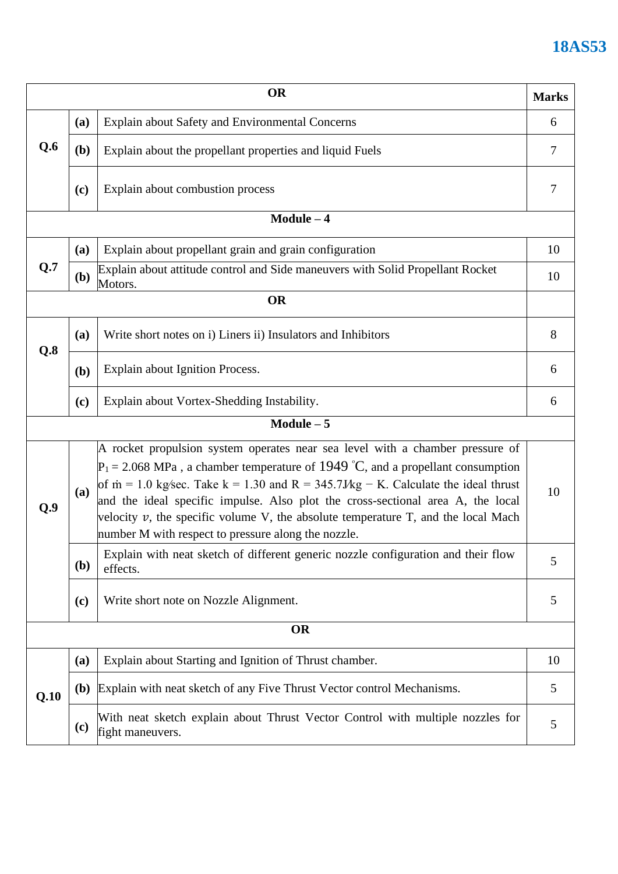### **18AS53**

|           |              | OR                                                                                                                                                                                                                                                                                                                                                                                                                                                                                                    | <b>Marks</b> |  |  |
|-----------|--------------|-------------------------------------------------------------------------------------------------------------------------------------------------------------------------------------------------------------------------------------------------------------------------------------------------------------------------------------------------------------------------------------------------------------------------------------------------------------------------------------------------------|--------------|--|--|
| Q.6       | (a)          | Explain about Safety and Environmental Concerns                                                                                                                                                                                                                                                                                                                                                                                                                                                       | 6            |  |  |
|           | (b)          | Explain about the propellant properties and liquid Fuels                                                                                                                                                                                                                                                                                                                                                                                                                                              |              |  |  |
|           | (c)          | Explain about combustion process                                                                                                                                                                                                                                                                                                                                                                                                                                                                      | 7            |  |  |
|           |              | $Module - 4$                                                                                                                                                                                                                                                                                                                                                                                                                                                                                          |              |  |  |
|           | (a)          | Explain about propellant grain and grain configuration                                                                                                                                                                                                                                                                                                                                                                                                                                                | 10           |  |  |
| Q.7       | (b)          | Explain about attitude control and Side maneuvers with Solid Propellant Rocket<br>Motors.                                                                                                                                                                                                                                                                                                                                                                                                             | 10           |  |  |
|           |              | <b>OR</b>                                                                                                                                                                                                                                                                                                                                                                                                                                                                                             |              |  |  |
| Q.8       | (a)          | Write short notes on i) Liners ii) Insulators and Inhibitors                                                                                                                                                                                                                                                                                                                                                                                                                                          | 8            |  |  |
|           | (b)          | Explain about Ignition Process.                                                                                                                                                                                                                                                                                                                                                                                                                                                                       | 6            |  |  |
|           | (c)          | Explain about Vortex-Shedding Instability.                                                                                                                                                                                                                                                                                                                                                                                                                                                            | 6            |  |  |
|           |              | $Module - 5$                                                                                                                                                                                                                                                                                                                                                                                                                                                                                          |              |  |  |
| Q.9       | (a)          | A rocket propulsion system operates near sea level with a chamber pressure of<br>$P_1 = 2.068$ MPa, a chamber temperature of 1949 °C, and a propellant consumption<br>of $\dot{m} = 1.0$ kg/sec. Take $k = 1.30$ and $R = 345.7Mg - K$ . Calculate the ideal thrust<br>and the ideal specific impulse. Also plot the cross-sectional area A, the local<br>velocity $v$ , the specific volume V, the absolute temperature T, and the local Mach<br>number M with respect to pressure along the nozzle. | 10           |  |  |
|           | ( <b>b</b> ) | Explain with neat sketch of different generic nozzle configuration and their flow<br>effects.                                                                                                                                                                                                                                                                                                                                                                                                         | 5            |  |  |
|           | (c)          | Write short note on Nozzle Alignment.                                                                                                                                                                                                                                                                                                                                                                                                                                                                 | 5            |  |  |
| <b>OR</b> |              |                                                                                                                                                                                                                                                                                                                                                                                                                                                                                                       |              |  |  |
| Q.10      | (a)          | Explain about Starting and Ignition of Thrust chamber.                                                                                                                                                                                                                                                                                                                                                                                                                                                | 10           |  |  |
|           | <b>(b)</b>   | Explain with neat sketch of any Five Thrust Vector control Mechanisms.                                                                                                                                                                                                                                                                                                                                                                                                                                | 5            |  |  |
|           | (c)          | With neat sketch explain about Thrust Vector Control with multiple nozzles for<br>fight maneuvers.                                                                                                                                                                                                                                                                                                                                                                                                    | 5            |  |  |